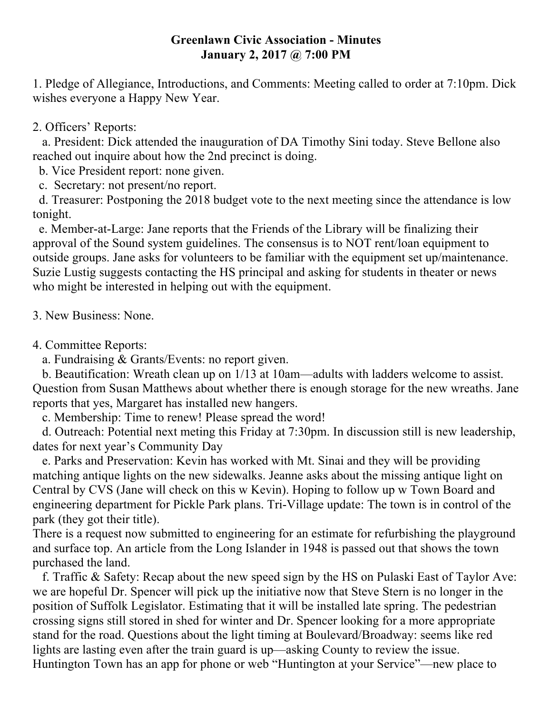## **Greenlawn Civic Association - Minutes January 2, 2017 @ 7:00 PM**

1. Pledge of Allegiance, Introductions, and Comments: Meeting called to order at 7:10pm. Dick wishes everyone a Happy New Year.

## 2. Officers' Reports:

 a. President: Dick attended the inauguration of DA Timothy Sini today. Steve Bellone also reached out inquire about how the 2nd precinct is doing.

b. Vice President report: none given.

c. Secretary: not present/no report.

 d. Treasurer: Postponing the 2018 budget vote to the next meeting since the attendance is low tonight.

 e. Member-at-Large: Jane reports that the Friends of the Library will be finalizing their approval of the Sound system guidelines. The consensus is to NOT rent/loan equipment to outside groups. Jane asks for volunteers to be familiar with the equipment set up/maintenance. Suzie Lustig suggests contacting the HS principal and asking for students in theater or news who might be interested in helping out with the equipment.

3. New Business: None.

4. Committee Reports:

a. Fundraising & Grants/Events: no report given.

 b. Beautification: Wreath clean up on 1/13 at 10am—adults with ladders welcome to assist. Question from Susan Matthews about whether there is enough storage for the new wreaths. Jane reports that yes, Margaret has installed new hangers.

c. Membership: Time to renew! Please spread the word!

 d. Outreach: Potential next meting this Friday at 7:30pm. In discussion still is new leadership, dates for next year's Community Day

 e. Parks and Preservation: Kevin has worked with Mt. Sinai and they will be providing matching antique lights on the new sidewalks. Jeanne asks about the missing antique light on Central by CVS (Jane will check on this w Kevin). Hoping to follow up w Town Board and engineering department for Pickle Park plans. Tri-Village update: The town is in control of the park (they got their title).

There is a request now submitted to engineering for an estimate for refurbishing the playground and surface top. An article from the Long Islander in 1948 is passed out that shows the town purchased the land.

 f. Traffic & Safety: Recap about the new speed sign by the HS on Pulaski East of Taylor Ave: we are hopeful Dr. Spencer will pick up the initiative now that Steve Stern is no longer in the position of Suffolk Legislator. Estimating that it will be installed late spring. The pedestrian crossing signs still stored in shed for winter and Dr. Spencer looking for a more appropriate stand for the road. Questions about the light timing at Boulevard/Broadway: seems like red lights are lasting even after the train guard is up—asking County to review the issue. Huntington Town has an app for phone or web "Huntington at your Service"—new place to